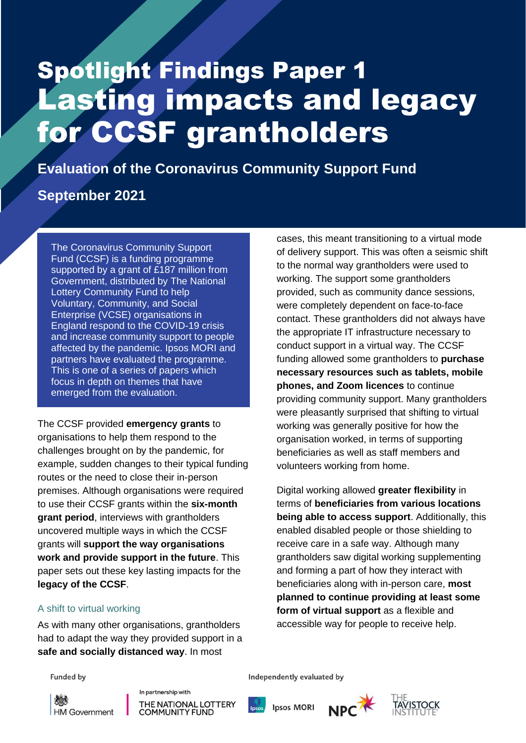# Spotlight Findings Paper 1 Lasting impacts and legacy for CCSF grantholders

Ipsos MORI | Evaluation of the CCSF: Spotlight Findings Paper 1 1

**Evaluation of the Coronavirus Community Support Fund**

## **September 2021**

The Coronavirus Community Support Fund (CCSF) is a funding programme supported by a grant of £187 million from Government, distributed by The National Lottery Community Fund to help Voluntary, Community, and Social Enterprise (VCSE) organisations in England respond to the COVID-19 crisis and increase community support to people affected by the pandemic. Ipsos MORI and partners have evaluated the programme. This is one of a series of papers which focus in depth on themes that have emerged from the evaluation.

The CCSF provided **emergency grants** to organisations to help them respond to the challenges brought on by the pandemic, for example, sudden changes to their typical funding routes or the need to close their in-person premises. Although organisations were required to use their CCSF grants within the **six-month grant period**, interviews with grantholders uncovered multiple ways in which the CCSF grants will **support the way organisations work and provide support in the future**. This paper sets out these key lasting impacts for the **legacy of the CCSF**.

### A shift to virtual working

As with many other organisations, grantholders had to adapt the way they provided support in a **safe and socially distanced way**. In most

cases, this meant transitioning to a virtual mode of delivery support. This was often a seismic shift to the normal way grantholders were used to working. The support some grantholders provided, such as community dance sessions, were completely dependent on face-to-face contact. These grantholders did not always have the appropriate IT infrastructure necessary to conduct support in a virtual way. The CCSF funding allowed some grantholders to **purchase necessary resources such as tablets, mobile phones, and Zoom licences** to continue providing community support. Many grantholders were pleasantly surprised that shifting to virtual working was generally positive for how the organisation worked, in terms of supporting beneficiaries as well as staff members and volunteers working from home.

Digital working allowed **greater flexibility** in terms of **beneficiaries from various locations being able to access support**. Additionally, this enabled disabled people or those shielding to receive care in a safe way. Although many grantholders saw digital working supplementing and forming a part of how they interact with beneficiaries along with in-person care, **most planned to continue providing at least some form of virtual support** as a flexible and accessible way for people to receive help.

**Funded by** 

**HM Government** 

In partnership with THE NATIONAL LOTTERY **COMMUNITY FUND** 

Independently evaluated by

**Ipsos MORI** 



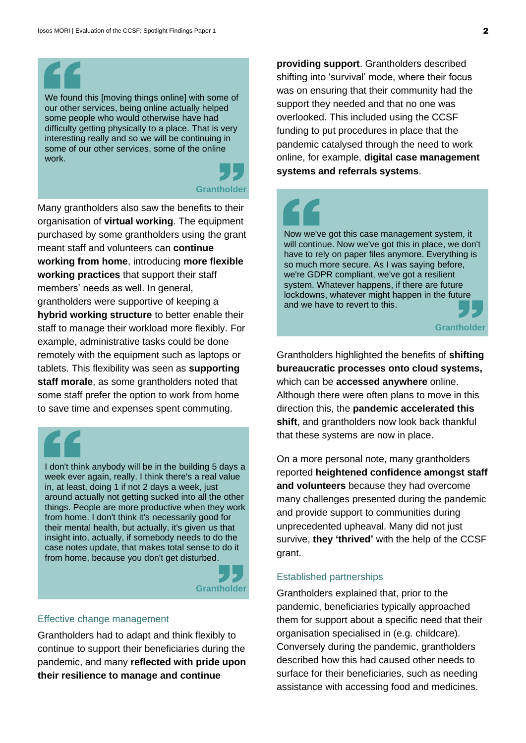We found this [moving things online] with some of our other services, being online actually helped some people who would otherwise have had difficulty getting physically to a place. That is very interesting really and so we will be continuing in some of our other services, some of the online work.

## **Grantholder**

Many grantholders also saw the benefits to their organisation of **virtual working**. The equipment purchased by some grantholders using the grant meant staff and volunteers can **continue working from home**, introducing **more flexible working practices** that support their staff members' needs as well. In general, grantholders were supportive of keeping a **hybrid working structure** to better enable their staff to manage their workload more flexibly. For example, administrative tasks could be done remotely with the equipment such as laptops or tablets. This flexibility was seen as **supporting staff morale**, as some grantholders noted that some staff prefer the option to work from home to save time and expenses spent commuting.

I don't think anybody will be in the building 5 days a week ever again, really. I think there's a real value in, at least, doing 1 if not 2 days a week, just around actually not getting sucked into all the other things. People are more productive when they work from home. I don't think it's necessarily good for their mental health, but actually, it's given us that insight into, actually, if somebody needs to do the case notes update, that makes total sense to do it from home, because you don't get disturbed.



### Effective change management

Grantholders had to adapt and think flexibly to continue to support their beneficiaries during the pandemic, and many **reflected with pride upon their resilience to manage and continue** 

**providing support**. Grantholders described shifting into 'survival' mode, where their focus was on ensuring that their community had the support they needed and that no one was overlooked. This included using the CCSF funding to put procedures in place that the pandemic catalysed through the need to work online, for example, **digital case management systems and referrals systems**.



Now we've got this case management system, it will continue. Now we've got this in place, we don't have to rely on paper files anymore. Everything is so much more secure. As I was saying before, we're GDPR compliant, we've got a resilient system. Whatever happens, if there are future lockdowns, whatever might happen in the future and we have to revert to this.



Grantholders highlighted the benefits of **shifting bureaucratic processes onto cloud systems,** which can be **accessed anywhere** online. Although there were often plans to move in this direction this, the **pandemic accelerated this shift**, and grantholders now look back thankful that these systems are now in place.

On a more personal note, many grantholders reported **heightened confidence amongst staff and volunteers** because they had overcome many challenges presented during the pandemic and provide support to communities during unprecedented upheaval. Many did not just survive, **they 'thrived'** with the help of the CCSF grant.

### Established partnerships

Grantholders explained that, prior to the pandemic, beneficiaries typically approached them for support about a specific need that their organisation specialised in (e.g. childcare). Conversely during the pandemic, grantholders described how this had caused other needs to surface for their beneficiaries, such as needing assistance with accessing food and medicines.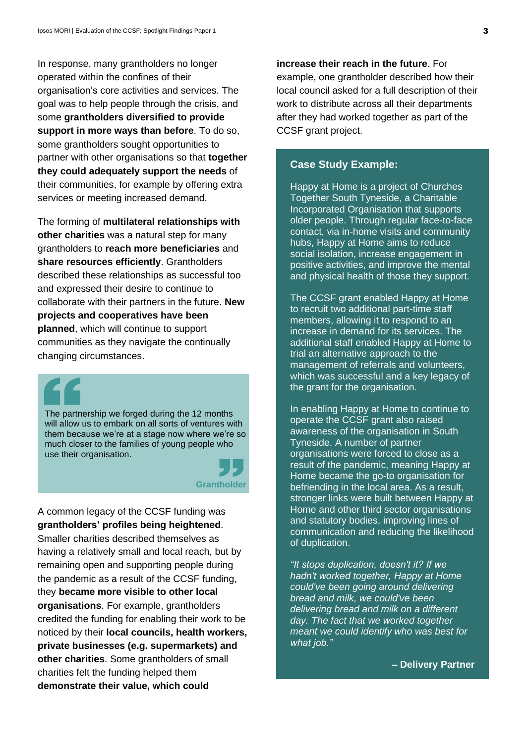In response, many grantholders no longer operated within the confines of their organisation's core activities and services. The goal was to help people through the crisis, and some **grantholders diversified to provide support in more ways than before**. To do so, some grantholders sought opportunities to partner with other organisations so that **together they could adequately support the needs** of their communities, for example by offering extra services or meeting increased demand.

The forming of **multilateral relationships with other charities** was a natural step for many grantholders to **reach more beneficiaries** and **share resources efficiently**. Grantholders described these relationships as successful too and expressed their desire to continue to collaborate with their partners in the future. **New projects and cooperatives have been planned**, which will continue to support communities as they navigate the continually changing circumstances.



The partnership we forged during the 12 months will allow us to embark on all sorts of ventures with them because we're at a stage now where we're so much closer to the families of young people who use their organisation.



A common legacy of the CCSF funding was **grantholders' profiles being heightened**. Smaller charities described themselves as having a relatively small and local reach, but by remaining open and supporting people during the pandemic as a result of the CCSF funding, they **became more visible to other local organisations**. For example, grantholders credited the funding for enabling their work to be noticed by their **local councils, health workers, private businesses (e.g. supermarkets) and other charities**. Some grantholders of small charities felt the funding helped them **demonstrate their value, which could** 

**increase their reach in the future**. For example, one grantholder described how their local council asked for a full description of their work to distribute across all their departments after they had worked together as part of the CCSF grant project.

### **Case Study Example:**

Happy at Home is a project of Churches Together South Tyneside, a Charitable Incorporated Organisation that supports older people. Through regular face-to-face contact, via in-home visits and community hubs, Happy at Home aims to reduce social isolation, increase engagement in positive activities, and improve the mental and physical health of those they support.

The CCSF grant enabled Happy at Home to recruit two additional part-time staff members, allowing it to respond to an increase in demand for its services. The additional staff enabled Happy at Home to trial an alternative approach to the management of referrals and volunteers, which was successful and a key legacy of the grant for the organisation.

In enabling Happy at Home to continue to operate the CCSF grant also raised awareness of the organisation in South Tyneside. A number of partner organisations were forced to close as a result of the pandemic, meaning Happy at Home became the go-to organisation for befriending in the local area. As a result, stronger links were built between Happy at Home and other third sector organisations and statutory bodies, improving lines of communication and reducing the likelihood of duplication.

*"It stops duplication, doesn't it? If we hadn't worked together, Happy at Home could've been going around delivering bread and milk, we could've been delivering bread and milk on a different day. The fact that we worked together meant we could identify who was best for what job."* 

**– Delivery Partner**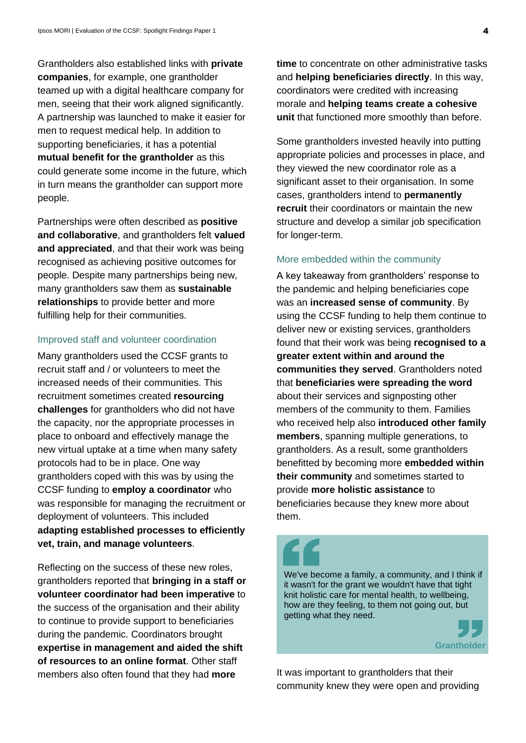Grantholders also established links with **private companies**, for example, one grantholder teamed up with a digital healthcare company for men, seeing that their work aligned significantly. A partnership was launched to make it easier for men to request medical help. In addition to supporting beneficiaries, it has a potential **mutual benefit for the grantholder** as this could generate some income in the future, which in turn means the grantholder can support more people.

Partnerships were often described as **positive and collaborative**, and grantholders felt **valued and appreciated**, and that their work was being recognised as achieving positive outcomes for people. Despite many partnerships being new, many grantholders saw them as **sustainable relationships** to provide better and more fulfilling help for their communities.

#### Improved staff and volunteer coordination

Many grantholders used the CCSF grants to recruit staff and / or volunteers to meet the increased needs of their communities. This recruitment sometimes created **resourcing challenges** for grantholders who did not have the capacity, nor the appropriate processes in place to onboard and effectively manage the new virtual uptake at a time when many safety protocols had to be in place. One way grantholders coped with this was by using the CCSF funding to **employ a coordinator** who was responsible for managing the recruitment or deployment of volunteers. This included **adapting established processes to efficiently vet, train, and manage volunteers**.

Reflecting on the success of these new roles, grantholders reported that **bringing in a staff or volunteer coordinator had been imperative** to the success of the organisation and their ability to continue to provide support to beneficiaries during the pandemic. Coordinators brought **expertise in management and aided the shift of resources to an online format**. Other staff members also often found that they had **more** 

**time** to concentrate on other administrative tasks and **helping beneficiaries directly**. In this way, coordinators were credited with increasing morale and **helping teams create a cohesive unit** that functioned more smoothly than before.

Some grantholders invested heavily into putting appropriate policies and processes in place, and they viewed the new coordinator role as a significant asset to their organisation. In some cases, grantholders intend to **permanently recruit** their coordinators or maintain the new structure and develop a similar job specification for longer-term.

#### More embedded within the community

A key takeaway from grantholders' response to the pandemic and helping beneficiaries cope was an **increased sense of community**. By using the CCSF funding to help them continue to deliver new or existing services, grantholders found that their work was being **recognised to a greater extent within and around the communities they served**. Grantholders noted that **beneficiaries were spreading the word** about their services and signposting other members of the community to them. Families who received help also **introduced other family members**, spanning multiple generations, to grantholders. As a result, some grantholders benefitted by becoming more **embedded within their community** and sometimes started to provide **more holistic assistance** to beneficiaries because they knew more about them.

We've become a family, a community, and I think if it wasn't for the grant we wouldn't have that tight knit holistic care for mental health, to wellbeing, how are they feeling, to them not going out, but getting what they need.



It was important to grantholders that their community knew they were open and providing